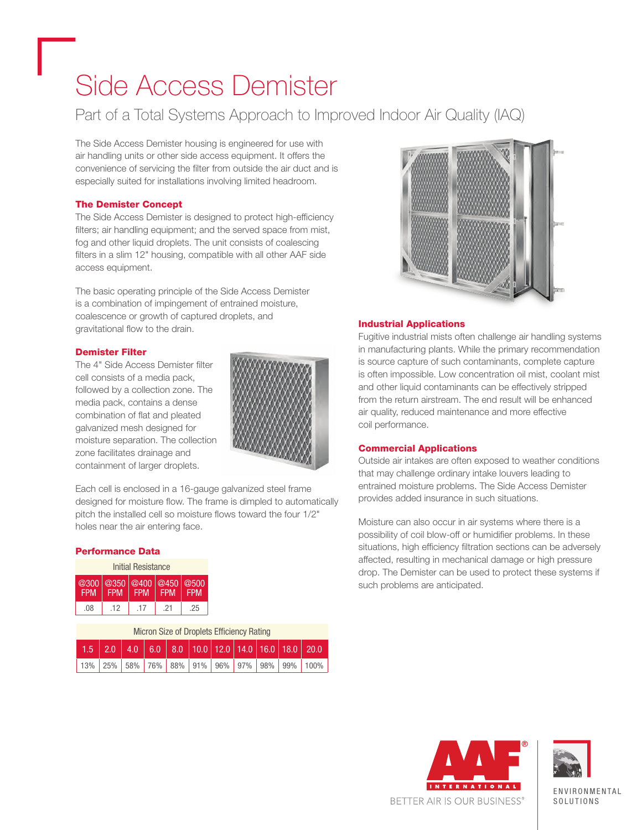# Side Access Demister

### Part of a Total Systems Approach to Improved Indoor Air Quality (IAQ)

The Side Access Demister housing is engineered for use with air handling units or other side access equipment. It offers the convenience of servicing the filter from outside the air duct and is especially suited for installations involving limited headroom.

#### The Demister Concept

The Side Access Demister is designed to protect high-efficiency filters; air handling equipment; and the served space from mist, fog and other liquid droplets. The unit consists of coalescing filters in a slim 12" housing, compatible with all other AAF side access equipment.

The basic operating principle of the Side Access Demister is a combination of impingement of entrained moisture, coalescence or growth of captured droplets, and gravitational flow to the drain.

#### Demister Filter

The 4" Side Access Demister filter cell consists of a media pack, followed by a collection zone. The media pack, contains a dense combination of flat and pleated galvanized mesh designed for moisture separation. The collection zone facilitates drainage and containment of larger droplets.



Each cell is enclosed in a 16-gauge galvanized steel frame designed for moisture flow. The frame is dimpled to automatically pitch the installed cell so moisture flows toward the four 1/2" holes near the air entering face.

#### Performance Data

| Initial Resistance |                                        |            |            |            |  |  |
|--------------------|----------------------------------------|------------|------------|------------|--|--|
| <b>FPM</b>         | @300 @350 @400 @450 @500<br><b>FPM</b> | <b>FPM</b> | <b>FPM</b> | <b>FPM</b> |  |  |
| .08                | .12                                    | -17        | -21        | .25        |  |  |

| Micron Size of Droplets Efficiency Rating |  |  |  |  |  |  |  |  |                                                                                                           |
|-------------------------------------------|--|--|--|--|--|--|--|--|-----------------------------------------------------------------------------------------------------------|
|                                           |  |  |  |  |  |  |  |  | $\vert$ 1.5 $\vert$ 2.0 $\vert$ 4.0 $\vert$ 6.0 $\vert$ 8.0 $\vert$ 10.0 12.0 14.0 16.0 18.0 20.0 $\vert$ |
|                                           |  |  |  |  |  |  |  |  | 13% 25% 58% 76% 88% 91% 96% 97% 98% 99% 100%                                                              |



#### Industrial Applications

Fugitive industrial mists often challenge air handling systems in manufacturing plants. While the primary recommendation is source capture of such contaminants, complete capture is often impossible. Low concentration oil mist, coolant mist and other liquid contaminants can be effectively stripped from the return airstream. The end result will be enhanced air quality, reduced maintenance and more effective coil performance.

#### Commercial Applications

Outside air intakes are often exposed to weather conditions that may challenge ordinary intake louvers leading to entrained moisture problems. The Side Access Demister provides added insurance in such situations.

Moisture can also occur in air systems where there is a possibility of coil blow-off or humidifier problems. In these situations, high efficiency filtration sections can be adversely affected, resulting in mechanical damage or high pressure drop. The Demister can be used to protect these systems if such problems are anticipated.





**ENVIRONMENTAL** SOL IITIONS